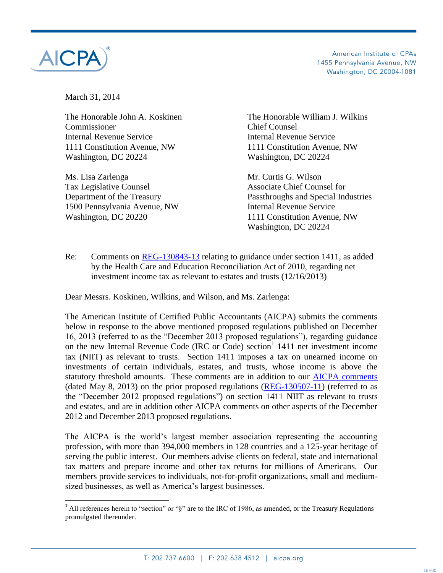

 $\overline{a}$ 

American Institute of CPAs 1455 Pennsylvania Avenue, NW Washington, DC 20004-1081

March 31, 2014

Commissioner Chief Counsel Internal Revenue Service Internal Revenue Service 1111 Constitution Avenue, NW 1111 Constitution Avenue, NW Washington, DC 20224 Washington, DC 20224

Ms. Lisa Zarlenga Mr. Curtis G. Wilson Tax Legislative Counsel **Associate Chief Counsel for** 1500 Pennsylvania Avenue, NW Internal Revenue Service Washington, DC 20220 1111 Constitution Avenue, NW

The Honorable John A. Koskinen The Honorable William J. Wilkins

Department of the Treasury Passthroughs and Special Industries Washington, DC 20224

Re: Comments on [REG-130843-13](http://www.irs.gov/irb/2013-51_IRB/ar14.html) relating to guidance under section 1411, as added by the Health Care and Education Reconciliation Act of 2010, regarding net investment income tax as relevant to estates and trusts (12/16/2013)

Dear Messrs. Koskinen, Wilkins, and Wilson, and Ms. Zarlenga:

The American Institute of Certified Public Accountants (AICPA) submits the comments below in response to the above mentioned proposed regulations published on December 16, 2013 (referred to as the "December 2013 proposed regulations"), regarding guidance on the new Internal Revenue Code (IRC or Code) section<sup>1</sup> 1411 net investment income tax (NIIT) as relevant to trusts. Section 1411 imposes a tax on unearned income on investments of certain individuals, estates, and trusts, whose income is above the statutory threshold amounts. These comments are in addition to our [AICPA comments](http://www.aicpa.org/Advocacy/Tax/TrustEstateGift/DownloadableDocuments/Trust%20Advocacy%20Documents/aicpa_comments_on_trusts_and_estates_and_NII_submitted.pdf) (dated May 8, 2013) on the prior proposed regulations  $(REG-130507-11)$  (referred to as the "December 2012 proposed regulations") on section 1411 NIIT as relevant to trusts and estates, and are in addition other AICPA comments on other aspects of the December 2012 and December 2013 proposed regulations.

The AICPA is the world's largest member association representing the accounting profession, with more than 394,000 members in 128 countries and a 125-year heritage of serving the public interest. Our members advise clients on federal, state and international tax matters and prepare income and other tax returns for millions of Americans. Our members provide services to individuals, not-for-profit organizations, small and mediumsized businesses, as well as America's largest businesses.

<sup>&</sup>lt;sup>1</sup> All references herein to "section" or "§" are to the IRC of 1986, as amended, or the Treasury Regulations promulgated thereunder.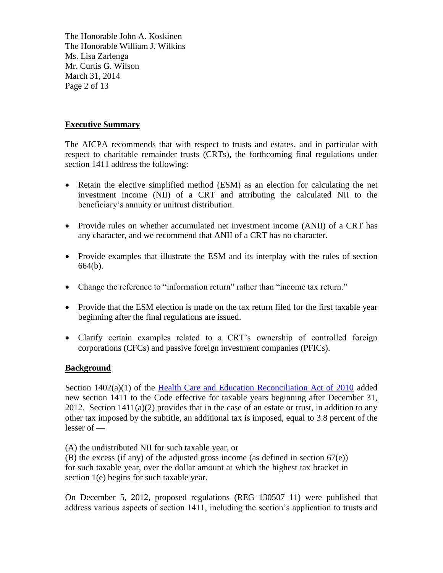The Honorable John A. Koskinen The Honorable William J. Wilkins Ms. Lisa Zarlenga Mr. Curtis G. Wilson March 31, 2014 Page 2 of 13

### **Executive Summary**

The AICPA recommends that with respect to trusts and estates, and in particular with respect to charitable remainder trusts (CRTs), the forthcoming final regulations under section 1411 address the following:

- Retain the elective simplified method (ESM) as an election for calculating the net investment income (NII) of a CRT and attributing the calculated NII to the beneficiary's annuity or unitrust distribution.
- Provide rules on whether accumulated net investment income (ANII) of a CRT has any character, and we recommend that ANII of a CRT has no character.
- Provide examples that illustrate the ESM and its interplay with the rules of section 664(b).
- Change the reference to "information return" rather than "income tax return."
- Provide that the ESM election is made on the tax return filed for the first taxable year beginning after the final regulations are issued.
- Clarify certain examples related to a CRT's ownership of controlled foreign corporations (CFCs) and passive foreign investment companies (PFICs).

#### **Background**

Section 1402(a)(1) of the [Health Care and Education Reconciliation Act of 2010](http://www.gpo.gov/fdsys/pkg/PLAW-111publ152/pdf/PLAW-111publ152.pdf) added new section 1411 to the Code effective for taxable years beginning after December 31, 2012. Section  $1411(a)(2)$  provides that in the case of an estate or trust, in addition to any other tax imposed by the subtitle, an additional tax is imposed, equal to 3.8 percent of the lesser of —

(A) the undistributed NII for such taxable year, or (B) the excess (if any) of the adjusted gross income (as defined in section 67(e)) for such taxable year, over the dollar amount at which the highest tax bracket in section 1(e) begins for such taxable year.

On December 5, 2012, proposed regulations (REG–130507–11) were published that address various aspects of section 1411, including the section's application to trusts and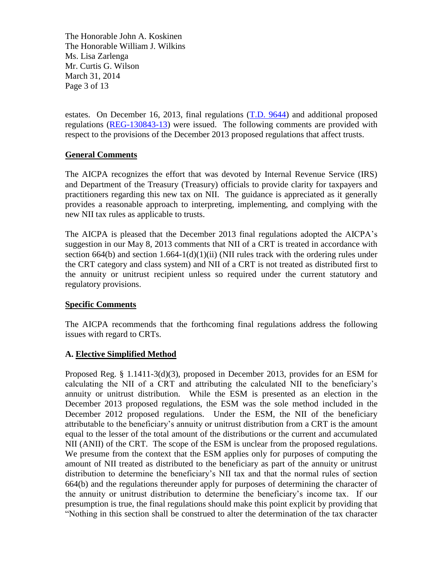The Honorable John A. Koskinen The Honorable William J. Wilkins Ms. Lisa Zarlenga Mr. Curtis G. Wilson March 31, 2014 Page 3 of 13

estates. On December 16, 2013, final regulations [\(T.D. 9644\)](http://www.irs.gov/irb/2013-51_IRB/ar09.html) and additional proposed regulations [\(REG-130843-13\)](http://www.irs.gov/irb/2013-51_IRB/ar14.html) were issued. The following comments are provided with respect to the provisions of the December 2013 proposed regulations that affect trusts.

### **General Comments**

The AICPA recognizes the effort that was devoted by Internal Revenue Service (IRS) and Department of the Treasury (Treasury) officials to provide clarity for taxpayers and practitioners regarding this new tax on NII. The guidance is appreciated as it generally provides a reasonable approach to interpreting, implementing, and complying with the new NII tax rules as applicable to trusts.

The AICPA is pleased that the December 2013 final regulations adopted the AICPA's suggestion in our May 8, 2013 comments that NII of a CRT is treated in accordance with section 664(b) and section  $1.664-1(d)(1)(ii)$  (NII rules track with the ordering rules under the CRT category and class system) and NII of a CRT is not treated as distributed first to the annuity or unitrust recipient unless so required under the current statutory and regulatory provisions.

#### **Specific Comments**

The AICPA recommends that the forthcoming final regulations address the following issues with regard to CRTs.

# **A. Elective Simplified Method**

Proposed Reg. § 1.1411-3(d)(3), proposed in December 2013, provides for an ESM for calculating the NII of a CRT and attributing the calculated NII to the beneficiary's annuity or unitrust distribution. While the ESM is presented as an election in the December 2013 proposed regulations, the ESM was the sole method included in the December 2012 proposed regulations. Under the ESM, the NII of the beneficiary attributable to the beneficiary's annuity or unitrust distribution from a CRT is the amount equal to the lesser of the total amount of the distributions or the current and accumulated NII (ANII) of the CRT. The scope of the ESM is unclear from the proposed regulations. We presume from the context that the ESM applies only for purposes of computing the amount of NII treated as distributed to the beneficiary as part of the annuity or unitrust distribution to determine the beneficiary's NII tax and that the normal rules of section 664(b) and the regulations thereunder apply for purposes of determining the character of the annuity or unitrust distribution to determine the beneficiary's income tax. If our presumption is true, the final regulations should make this point explicit by providing that "Nothing in this section shall be construed to alter the determination of the tax character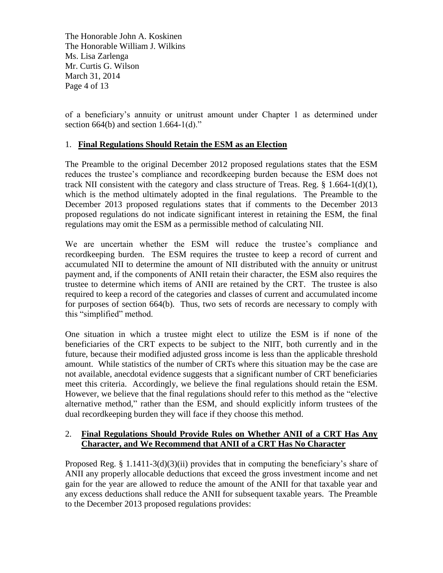The Honorable John A. Koskinen The Honorable William J. Wilkins Ms. Lisa Zarlenga Mr. Curtis G. Wilson March 31, 2014 Page 4 of 13

of a beneficiary's annuity or unitrust amount under Chapter 1 as determined under section 664(b) and section  $1.664-1(d)$ ."

### 1. **Final Regulations Should Retain the ESM as an Election**

The Preamble to the original December 2012 proposed regulations states that the ESM reduces the trustee's compliance and recordkeeping burden because the ESM does not track NII consistent with the category and class structure of Treas. Reg.  $\S$  1.664-1(d)(1), which is the method ultimately adopted in the final regulations. The Preamble to the December 2013 proposed regulations states that if comments to the December 2013 proposed regulations do not indicate significant interest in retaining the ESM, the final regulations may omit the ESM as a permissible method of calculating NII.

We are uncertain whether the ESM will reduce the trustee's compliance and recordkeeping burden. The ESM requires the trustee to keep a record of current and accumulated NII to determine the amount of NII distributed with the annuity or unitrust payment and, if the components of ANII retain their character, the ESM also requires the trustee to determine which items of ANII are retained by the CRT. The trustee is also required to keep a record of the categories and classes of current and accumulated income for purposes of section 664(b). Thus, two sets of records are necessary to comply with this "simplified" method.

One situation in which a trustee might elect to utilize the ESM is if none of the beneficiaries of the CRT expects to be subject to the NIIT, both currently and in the future, because their modified adjusted gross income is less than the applicable threshold amount. While statistics of the number of CRTs where this situation may be the case are not available, anecdotal evidence suggests that a significant number of CRT beneficiaries meet this criteria. Accordingly, we believe the final regulations should retain the ESM. However, we believe that the final regulations should refer to this method as the "elective alternative method," rather than the ESM, and should explicitly inform trustees of the dual recordkeeping burden they will face if they choose this method.

# 2. **Final Regulations Should Provide Rules on Whether ANII of a CRT Has Any Character, and We Recommend that ANII of a CRT Has No Character**

Proposed Reg. §  $1.1411-3(d)(3)(ii)$  provides that in computing the beneficiary's share of ANII any properly allocable deductions that exceed the gross investment income and net gain for the year are allowed to reduce the amount of the ANII for that taxable year and any excess deductions shall reduce the ANII for subsequent taxable years. The Preamble to the December 2013 proposed regulations provides: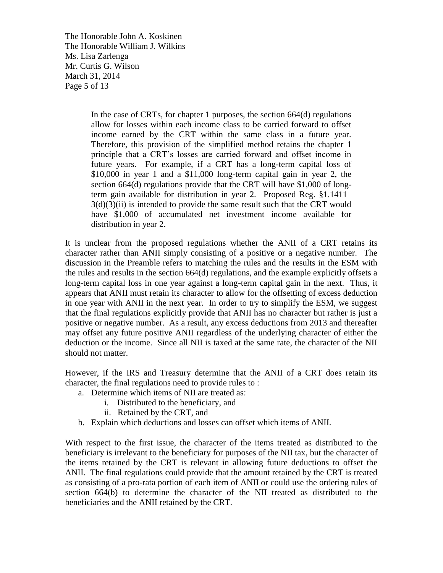The Honorable John A. Koskinen The Honorable William J. Wilkins Ms. Lisa Zarlenga Mr. Curtis G. Wilson March 31, 2014 Page 5 of 13

> In the case of CRTs, for chapter 1 purposes, the section 664(d) regulations allow for losses within each income class to be carried forward to offset income earned by the CRT within the same class in a future year. Therefore, this provision of the simplified method retains the chapter 1 principle that a CRT's losses are carried forward and offset income in future years. For example, if a CRT has a long-term capital loss of \$10,000 in year 1 and a \$11,000 long-term capital gain in year 2, the section 664(d) regulations provide that the CRT will have \$1,000 of longterm gain available for distribution in year 2. Proposed Reg. §1.1411–  $3(d)(3)(ii)$  is intended to provide the same result such that the CRT would have \$1,000 of accumulated net investment income available for distribution in year 2.

It is unclear from the proposed regulations whether the ANII of a CRT retains its character rather than ANII simply consisting of a positive or a negative number. The discussion in the Preamble refers to matching the rules and the results in the ESM with the rules and results in the section 664(d) regulations, and the example explicitly offsets a long-term capital loss in one year against a long-term capital gain in the next. Thus, it appears that ANII must retain its character to allow for the offsetting of excess deduction in one year with ANII in the next year. In order to try to simplify the ESM, we suggest that the final regulations explicitly provide that ANII has no character but rather is just a positive or negative number. As a result, any excess deductions from 2013 and thereafter may offset any future positive ANII regardless of the underlying character of either the deduction or the income. Since all NII is taxed at the same rate, the character of the NII should not matter.

However, if the IRS and Treasury determine that the ANII of a CRT does retain its character, the final regulations need to provide rules to :

- a. Determine which items of NII are treated as:
	- i. Distributed to the beneficiary, and
		- ii. Retained by the CRT, and
- b. Explain which deductions and losses can offset which items of ANII.

With respect to the first issue, the character of the items treated as distributed to the beneficiary is irrelevant to the beneficiary for purposes of the NII tax, but the character of the items retained by the CRT is relevant in allowing future deductions to offset the ANII. The final regulations could provide that the amount retained by the CRT is treated as consisting of a pro-rata portion of each item of ANII or could use the ordering rules of section 664(b) to determine the character of the NII treated as distributed to the beneficiaries and the ANII retained by the CRT.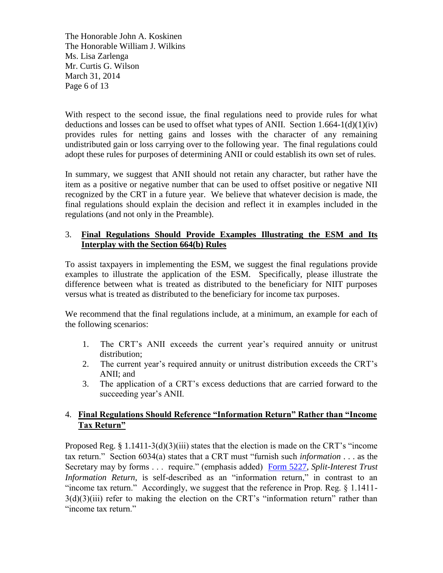The Honorable John A. Koskinen The Honorable William J. Wilkins Ms. Lisa Zarlenga Mr. Curtis G. Wilson March 31, 2014 Page 6 of 13

With respect to the second issue, the final regulations need to provide rules for what deductions and losses can be used to offset what types of ANII. Section  $1.664-1(d)(1)(iv)$ provides rules for netting gains and losses with the character of any remaining undistributed gain or loss carrying over to the following year. The final regulations could adopt these rules for purposes of determining ANII or could establish its own set of rules.

In summary, we suggest that ANII should not retain any character, but rather have the item as a positive or negative number that can be used to offset positive or negative NII recognized by the CRT in a future year. We believe that whatever decision is made, the final regulations should explain the decision and reflect it in examples included in the regulations (and not only in the Preamble).

# 3. **Final Regulations Should Provide Examples Illustrating the ESM and Its Interplay with the Section 664(b) Rules**

To assist taxpayers in implementing the ESM, we suggest the final regulations provide examples to illustrate the application of the ESM. Specifically, please illustrate the difference between what is treated as distributed to the beneficiary for NIIT purposes versus what is treated as distributed to the beneficiary for income tax purposes.

We recommend that the final regulations include, at a minimum, an example for each of the following scenarios:

- 1. The CRT's ANII exceeds the current year's required annuity or unitrust distribution;
- 2. The current year's required annuity or unitrust distribution exceeds the CRT's ANII; and
- 3. The application of a CRT's excess deductions that are carried forward to the succeeding year's ANII.

# 4. **Final Regulations Should Reference "Information Return" Rather than "Income Tax Return"**

Proposed Reg. § 1.1411-3(d)(3)(iii) states that the election is made on the CRT's "income tax return." Section 6034(a) states that a CRT must "furnish such *information* . . . as the Secretary may by forms . . . require." (emphasis added) [Form 5227,](http://www.irs.gov/pub/irs-pdf/f5227.pdf) *Split-Interest Trust Information Return*, is self-described as an "information return," in contrast to an "income tax return." Accordingly, we suggest that the reference in Prop. Reg. § 1.1411-  $3(d)(3)(iii)$  refer to making the election on the CRT's "information return" rather than "income tax return."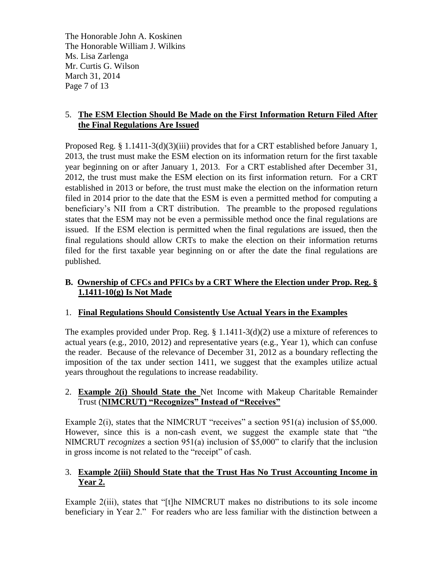The Honorable John A. Koskinen The Honorable William J. Wilkins Ms. Lisa Zarlenga Mr. Curtis G. Wilson March 31, 2014 Page 7 of 13

# 5. **The ESM Election Should Be Made on the First Information Return Filed After the Final Regulations Are Issued**

Proposed Reg. § 1.1411-3(d)(3)(iii) provides that for a CRT established before January 1, 2013, the trust must make the ESM election on its information return for the first taxable year beginning on or after January 1, 2013. For a CRT established after December 31, 2012, the trust must make the ESM election on its first information return. For a CRT established in 2013 or before, the trust must make the election on the information return filed in 2014 prior to the date that the ESM is even a permitted method for computing a beneficiary's NII from a CRT distribution. The preamble to the proposed regulations states that the ESM may not be even a permissible method once the final regulations are issued. If the ESM election is permitted when the final regulations are issued, then the final regulations should allow CRTs to make the election on their information returns filed for the first taxable year beginning on or after the date the final regulations are published.

# **B. Ownership of CFCs and PFICs by a CRT Where the Election under Prop. Reg. § 1.1411-10(g) Is Not Made**

# 1. **Final Regulations Should Consistently Use Actual Years in the Examples**

The examples provided under Prop. Reg.  $\S 1.1411-3(d)(2)$  use a mixture of references to actual years (e.g., 2010, 2012) and representative years (e.g., Year 1), which can confuse the reader. Because of the relevance of December 31, 2012 as a boundary reflecting the imposition of the tax under section 1411, we suggest that the examples utilize actual years throughout the regulations to increase readability.

# 2. **Example 2(i) Should State the** Net Income with Makeup Charitable Remainder Trust (**NIMCRUT) "Recognizes" Instead of "Receives"**

Example 2(i), states that the NIMCRUT "receives" a section 951(a) inclusion of \$5,000. However, since this is a non-cash event, we suggest the example state that "the NIMCRUT *recognizes* a section 951(a) inclusion of \$5,000" to clarify that the inclusion in gross income is not related to the "receipt" of cash.

# 3. **Example 2(iii) Should State that the Trust Has No Trust Accounting Income in Year 2.**

Example 2(iii), states that "[t]he NIMCRUT makes no distributions to its sole income beneficiary in Year 2." For readers who are less familiar with the distinction between a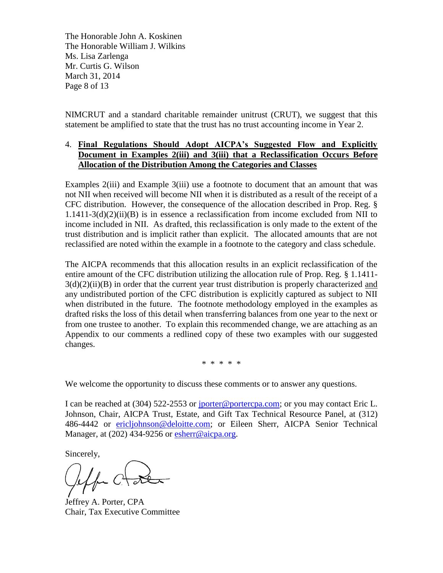The Honorable John A. Koskinen The Honorable William J. Wilkins Ms. Lisa Zarlenga Mr. Curtis G. Wilson March 31, 2014 Page 8 of 13

NIMCRUT and a standard charitable remainder unitrust (CRUT), we suggest that this statement be amplified to state that the trust has no trust accounting income in Year 2.

### 4. **Final Regulations Should Adopt AICPA's Suggested Flow and Explicitly Document in Examples 2(iii) and 3(iii) that a Reclassification Occurs Before Allocation of the Distribution Among the Categories and Classes**

Examples 2(iii) and Example 3(iii) use a footnote to document that an amount that was not NII when received will become NII when it is distributed as a result of the receipt of a CFC distribution. However, the consequence of the allocation described in Prop. Reg. §  $1.1411-3(d)(2)(ii)(B)$  is in essence a reclassification from income excluded from NII to income included in NII. As drafted, this reclassification is only made to the extent of the trust distribution and is implicit rather than explicit. The allocated amounts that are not reclassified are noted within the example in a footnote to the category and class schedule.

The AICPA recommends that this allocation results in an explicit reclassification of the entire amount of the CFC distribution utilizing the allocation rule of Prop. Reg. § 1.1411-  $3(d)(2)(ii)(B)$  in order that the current year trust distribution is properly characterized and any undistributed portion of the CFC distribution is explicitly captured as subject to NII when distributed in the future. The footnote methodology employed in the examples as drafted risks the loss of this detail when transferring balances from one year to the next or from one trustee to another. To explain this recommended change, we are attaching as an Appendix to our comments a redlined copy of these two examples with our suggested changes.

\* \* \* \* \*

We welcome the opportunity to discuss these comments or to answer any questions.

I can be reached at (304) 522-2553 or [jporter@portercpa.com;](mailto:jporter@portercpa.com) or you may contact Eric L. Johnson, Chair, AICPA Trust, Estate, and Gift Tax Technical Resource Panel, at (312) 486-4442 or [ericljohnson@deloitte.com;](mailto:ericljohnson@deloitte.com) or Eileen Sherr, AICPA Senior Technical Manager, at (202) 434-9256 or [esherr@aicpa.org.](mailto:esherr@aicpa.org)

Sincerely,

Jeffrey A. Porter, CPA Chair, Tax Executive Committee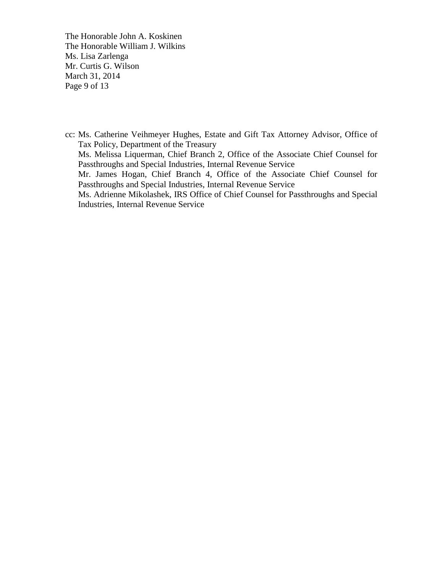The Honorable John A. Koskinen The Honorable William J. Wilkins Ms. Lisa Zarlenga Mr. Curtis G. Wilson March 31, 2014 Page 9 of 13

cc: Ms. Catherine Veihmeyer Hughes, Estate and Gift Tax Attorney Advisor, Office of Tax Policy, Department of the Treasury Ms. Melissa Liquerman, Chief Branch 2, Office of the Associate Chief Counsel for Passthroughs and Special Industries, Internal Revenue Service Mr. James Hogan, Chief Branch 4, Office of the Associate Chief Counsel for Passthroughs and Special Industries, Internal Revenue Service Ms. Adrienne Mikolashek, IRS Office of Chief Counsel for Passthroughs and Special Industries, Internal Revenue Service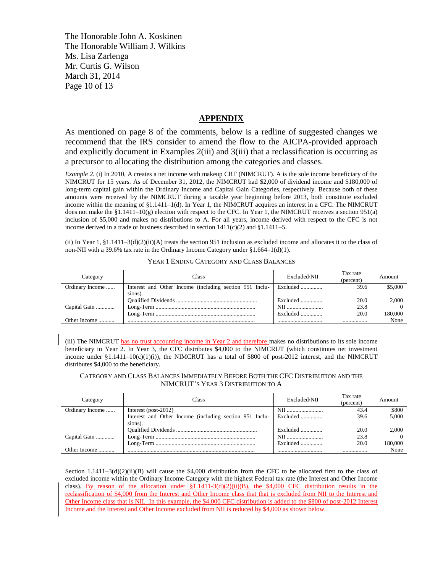The Honorable John A. Koskinen The Honorable William J. Wilkins Ms. Lisa Zarlenga Mr. Curtis G. Wilson March 31, 2014 Page 10 of 13

#### **APPENDIX**

As mentioned on page 8 of the comments, below is a redline of suggested changes we recommend that the IRS consider to amend the flow to the AICPA-provided approach and explicitly document in Examples 2(iii) and 3(iii) that a reclassification is occurring as a precursor to allocating the distribution among the categories and classes.

*Example 2*. (i) In 2010, A creates a net income with makeup CRT (NIMCRUT). A is the sole income beneficiary of the NIMCRUT for 15 years. As of December 31, 2012, the NIMCRUT had \$2,000 of dividend income and \$180,000 of long-term capital gain within the Ordinary Income and Capital Gain Categories, respectively. Because both of these amounts were received by the NIMCRUT during a taxable year beginning before 2013, both constitute excluded income within the meaning of §1.1411–1(d). In Year 1, the NIMCRUT acquires an interest in a CFC. The NIMCRUT does not make the  $\S1.1411-10(g)$  election with respect to the CFC. In Year 1, the NIMCRUT receives a section 951(a) inclusion of \$5,000 and makes no distributions to A. For all years, income derived with respect to the CFC is not income derived in a trade or business described in section  $1411(c)(2)$  and  $§1.1411-5$ .

(ii) In Year 1, §1.1411–3(d)(2)(ii)(A) treats the section 951 inclusion as excluded income and allocates it to the class of non-NII with a 39.6% tax rate in the Ordinary Income Category under §1.664–1(d)(1).

| Category        | :lass                                                   | Excluded/NII      | Tax rate<br>(percent) | Amount  |
|-----------------|---------------------------------------------------------|-------------------|-----------------------|---------|
| Ordinary Income | Interest and Other Income (including section 951 Inclu- | Excluded          | 39.6                  | \$5,000 |
|                 | sions).                                                 |                   |                       |         |
|                 |                                                         | Excluded $\ldots$ | 20.0                  | 2.000   |
| Capital Gain    |                                                         | NII               | 23.8                  |         |
|                 |                                                         |                   | 20.0                  | 180.000 |
| Other Income    |                                                         |                   |                       | None    |

YEAR 1 ENDING CATEGORY AND CLASS BALANCES

(iii) The NIMCRUT has no trust accounting income in Year 2 and therefore makes no distributions to its sole income beneficiary in Year 2. In Year 3, the CFC distributes \$4,000 to the NIMCRUT (which constitutes net investment income under  $$1.1411-10(c)(1)(i))$ , the NIMCRUT has a total of \$800 of post-2012 interest, and the NIMCRUT distributes \$4,000 to the beneficiary.

CATEGORY AND CLASS BALANCES IMMEDIATELY BEFORE BOTH THE CFC DISTRIBUTION AND THE NIMCRUT'S YEAR 3 DISTRIBUTION TO A

| Category        | Class                                                   | Excluded/NII | Tax rate<br>(percent) | Amount  |
|-----------------|---------------------------------------------------------|--------------|-----------------------|---------|
| Ordinary Income | Interest (post- $2012$ )                                |              | 43.4                  | \$800   |
|                 | Interest and Other Income (including section 951 Inclu- | Excluded     | 39.6                  | 5,000   |
|                 | sions).                                                 |              |                       |         |
|                 |                                                         | Excluded     | 20.0                  | 2.000   |
| Capital Gain    |                                                         | NII          | 23.8                  |         |
|                 |                                                         | Excluded     | 20.0                  | 180.000 |
| Other Income    |                                                         |              |                       | None    |

Section  $1.1411-3(d)(2)(ii)(B)$  will cause the \$4,000 distribution from the CFC to be allocated first to the class of excluded income within the Ordinary Income Category with the highest Federal tax rate (the Interest and Other Income class). By reason of the allocation under  $\S1.1411-3(d)(2)(ii)(B)$ , the \$4,000 CFC distribution results in the reclassification of \$4,000 from the Interest and Other Income class that that is excluded from NII to the Interest and Other Income class that is NII. In this example, the \$4,000 CFC distribution is added to the \$800 of post-2012 Interest Income and the Interest and Other Income excluded from NII is reduced by \$4,000 as shown below.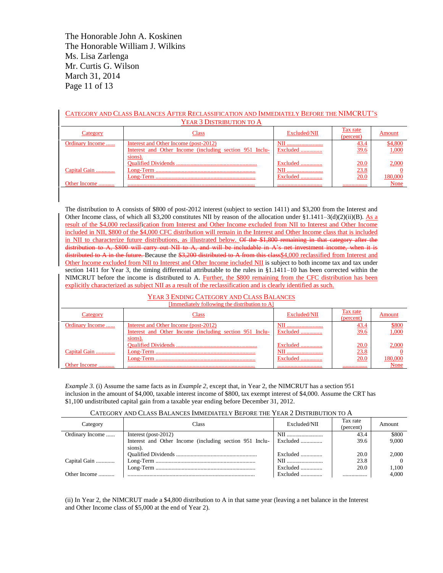The Honorable John A. Koskinen The Honorable William J. Wilkins Ms. Lisa Zarlenga Mr. Curtis G. Wilson March 31, 2014 Page 11 of 13

| CATEGORY AND CLASS BALANCES AFTER RECLASSIFICATION AND IMMEDIATELY BEFORE THE NIMCRUT'S |                                                         |              |                       |         |  |
|-----------------------------------------------------------------------------------------|---------------------------------------------------------|--------------|-----------------------|---------|--|
|                                                                                         | YEAR 3 DISTRIBUTION TO A                                |              |                       |         |  |
| Category                                                                                | Class                                                   | Excluded/NII | Tax rate<br>(percent) | Amount  |  |
| Ordinary Income                                                                         | Interest and Other Income (post-2012)                   | NII<br>      | 43.4                  | \$4,800 |  |
|                                                                                         | Interest and Other Income (including section 951 Inclu- | Excluded     | 39.6                  | 1,000   |  |
|                                                                                         | sions).                                                 |              |                       |         |  |
|                                                                                         |                                                         | Excluded     | 20.0                  | 2,000   |  |
| Capital Gain                                                                            |                                                         | NII<br>      | 23.8                  |         |  |
|                                                                                         |                                                         | Excluded     | 20.0                  | 180,000 |  |
| Other Income                                                                            |                                                         |              |                       | None    |  |

The distribution to A consists of \$800 of post-2012 interest (subject to section 1411) and \$3,200 from the Interest and Other Income class, of which all \$3,200 constitutes NII by reason of the allocation under  $$1.1411-3(d)(2)(ii)(B)$ . As a result of the \$4,000 reclassification from Interest and Other Income excluded from NII to Interest and Other Income included in NII, \$800 of the \$4,000 CFC distribution will remain in the Interest and Other Income class that is included in NII to characterize future distributions, as illustrated below. Of the \$1,800 remaining in that category after the distribution to A, \$800 will carry out NII to A, and will be includable in A's net investment income, when it is distributed to A in the future. Because the \$3,200 distributed to A from this class \$4,000 reclassified from Interest and Other Income excluded from NII to Interest and Other Income included NII is subject to both income tax and tax under section 1411 for Year 3, the timing differential attributable to the rules in §1.1411–10 has been corrected within the NIMCRUT before the income is distributed to A. Further, the \$800 remaining from the CFC distribution has been explicitly characterized as subject NII as a result of the reclassification and is clearly identified as such.

#### YEAR 3 ENDING CATEGORY AND CLASS BALANCES  $[Immodified by following the distribution to  $l$$

| $\mu$ in the diagram control in the distribution to $\bf{A}$ |                                                         |              |                       |         |
|--------------------------------------------------------------|---------------------------------------------------------|--------------|-----------------------|---------|
| Category                                                     | Class                                                   | Excluded/NII | Tax rate<br>(percent) | Amount  |
| Ordinary Income                                              | Interest and Other Income (post-2012)                   | NII          | 43.4                  | \$800   |
|                                                              | Interest and Other Income (including section 951 Inclu- | Excluded     | 39.6                  | 1,000   |
|                                                              | sions).                                                 |              |                       |         |
|                                                              |                                                         | Excluded     | 20.0                  | 2,000   |
| Capital Gain                                                 |                                                         | NII          | 23.8                  |         |
|                                                              |                                                         | Excluded     | <b>20.0</b>           | 180,000 |
| Other Income                                                 |                                                         |              |                       | None    |

*Example 3*. (i) Assume the same facts as in *Example 2*, except that, in Year 2, the NIMCRUT has a section 951 inclusion in the amount of \$4,000, taxable interest income of \$800, tax exempt interest of \$4,000. Assume the CRT has \$1,100 undistributed capital gain from a taxable year ending before December 31, 2012.

#### CATEGORY AND CLASS BALANCES IMMEDIATELY BEFORE THE YEAR 2 DISTRIBUTION TO A

| Category        | Class                                                              | Excluded/NII      | Tax rate<br>(percent) | Amount   |
|-----------------|--------------------------------------------------------------------|-------------------|-----------------------|----------|
| Ordinary Income | Interest (post- $2012$ )                                           | NII               | 43.4                  | \$800    |
|                 | Interest and Other Income (including section 951 Inclu-<br>sions). | Excluded          | 39.6                  | 9.000    |
|                 |                                                                    | Excluded          | 20.0                  | 2.000    |
| Capital Gain    |                                                                    | NII               | 23.8                  | $\Omega$ |
|                 |                                                                    | Excluded          | 20.0                  | 1.100    |
| Other Income    |                                                                    | Excluded $\ldots$ |                       | 4.000    |

(ii) In Year 2, the NIMCRUT made a \$4,800 distribution to A in that same year (leaving a net balance in the Interest and Other Income class of \$5,000 at the end of Year 2).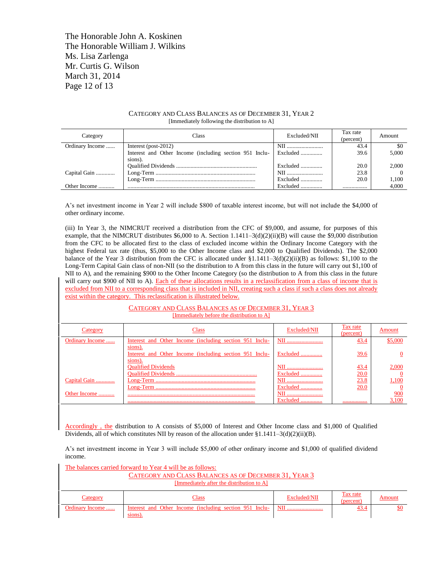The Honorable John A. Koskinen The Honorable William J. Wilkins Ms. Lisa Zarlenga Mr. Curtis G. Wilson March 31, 2014 Page 12 of 13

#### CATEGORY AND CLASS BALANCES AS OF DECEMBER 31, YEAR 2 [Immediately following the distribution to A]

| Category        | `lass                                                   | Excluded/NII | Tax rate<br>(percent) | Amount |
|-----------------|---------------------------------------------------------|--------------|-----------------------|--------|
| Ordinary Income | Interest (post-2012)                                    | NII          | 43.4                  | \$0    |
|                 | Interest and Other Income (including section 951 Inclu- | Excluded     | 39.6                  | 5.000  |
|                 | sions).                                                 |              |                       |        |
|                 |                                                         | Excluded     | 20.0                  | 2.000  |
| Capital Gain    |                                                         | NII          | 23.8                  |        |
|                 |                                                         | Excluded     | 20.0                  | 1.100  |
| Other Income    |                                                         | Excluded     |                       | 4.000  |

A's net investment income in Year 2 will include \$800 of taxable interest income, but will not include the \$4,000 of other ordinary income.

(iii) In Year 3, the NIMCRUT received a distribution from the CFC of \$9,000, and assume, for purposes of this example, that the NIMCRUT distributes \$6,000 to A. Section 1.1411-3(d)(2)(ii)(B) will cause the \$9,000 distribution from the CFC to be allocated first to the class of excluded income within the Ordinary Income Category with the highest Federal tax rate (thus, \$5,000 to the Other Income class and \$2,000 to Qualified Dividends). The \$2,000 balance of the Year 3 distribution from the CFC is allocated under  $\S1.1411-3(d)(2)(ii)(B)$  as follows: \$1,100 to the Long-Term Capital Gain class of non-NII (so the distribution to A from this class in the future will carry out \$1,100 of NII to A), and the remaining \$900 to the Other Income Category (so the distribution to A from this class in the future will carry out \$900 of NII to A). Each of these allocations results in a reclassification from a class of income that is excluded from NII to a corresponding class that is included in NII, creating such a class if such a class does not already exist within the category. This reclassification is illustrated below.

#### CATEGORY AND CLASS BALANCES AS OF DECEMBER 31, YEAR 3 [Immediately before the distribution to A] Category Class Class Excluded/NII Tax rate  $\frac{Tax rate}{(percent)}$  Amount Ordinary Income ...... Interest and Other Income (including section 951 Inclusions). NII ......................... 43.4 \$5,000 Interest and Other Income (including section 951 Inclusions). Excluded ............... 39.6 0 Qualified Dividends NII ......................... 43.4 2,000 Qualified Dividends ........................................................ Excluded ............... 20.0 0 Capital Gain ............. Long-Term ..................................................................... NII ......................... 23.8 1,100 Long-Term ..................................................................... Excluded ............... 20.0 0 Other Income ........... ........................................................................................ NII ......................... 900 ........................................................................................ Excluded ............... ................. 3,100

Accordingly , the distribution to A consists of \$5,000 of Interest and Other Income class and \$1,000 of Qualified Dividends, all of which constitutes NII by reason of the allocation under §1.1411–3(d)(2)(ii)(B).

A's net investment income in Year 3 will include \$5,000 of other ordinary income and \$1,000 of qualified dividend income.

| The balances carried forward to Year 4 will be as follows: |                                                                    |              |                       |        |  |  |
|------------------------------------------------------------|--------------------------------------------------------------------|--------------|-----------------------|--------|--|--|
|                                                            | CATEGORY AND CLASS BALANCES AS OF DECEMBER 31, YEAR 3              |              |                       |        |  |  |
| [Immediately after the distribution to A]                  |                                                                    |              |                       |        |  |  |
| Category                                                   | <b>Class</b>                                                       | Excluded/NII | Tax rate<br>(percent) | Amount |  |  |
| Ordinary Income                                            | Interest and Other Income (including section 951 Inclu-<br>sions). | <b>NII</b>   | 43.4                  | \$0    |  |  |